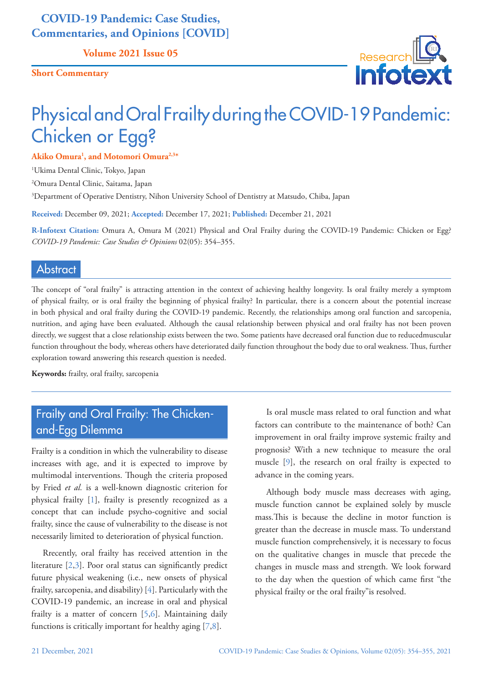## **COVID-19 Pandemic: Case Studies, Commentaries, and Opinions [COVID]**

**Volume 2021 Issue 05**

**Short Commentary**



# Physical and Oral Frailty during the COVID-19 Pandemic: Chicken or Egg?

**Akiko Omura1 , and Motomori Omura2,3\***

1 Ukima Dental Clinic, Tokyo, Japan

2 Omura Dental Clinic, Saitama, Japan

3 Department of Operative Dentistry, Nihon University School of Dentistry at Matsudo, Chiba, Japan

**Received:** December 09, 2021; **Accepted:** December 17, 2021; **Published:** December 21, 2021

**R-Infotext Citation:** Omura A, Omura M (2021) Physical and Oral Frailty during the COVID-19 Pandemic: Chicken or Egg? *COVID-19 Pandemic: Case Studies & Opinions* 02(05): 354–355.

#### Abstract

The concept of "oral frailty" is attracting attention in the context of achieving healthy longevity. Is oral frailty merely a symptom of physical frailty, or is oral frailty the beginning of physical frailty? In particular, there is a concern about the potential increase in both physical and oral frailty during the COVID-19 pandemic. Recently, the relationships among oral function and sarcopenia, nutrition, and aging have been evaluated. Although the causal relationship between physical and oral frailty has not been proven directly, we suggest that a close relationship exists between the two. Some patients have decreased oral function due to reducedmuscular function throughout the body, whereas others have deteriorated daily function throughout the body due to oral weakness. Thus, further exploration toward answering this research question is needed.

**Keywords:** frailty, oral frailty, sarcopenia

# Frailty and Oral Frailty: The Chickenand-Egg Dilemma

Frailty is a condition in which the vulnerability to disease increases with age, and it is expected to improve by multimodal interventions. Though the criteria proposed by Fried *et al.* is a well-known diagnostic criterion for physical frailty [\[1\]](#page-1-0), frailty is presently recognized as a concept that can include psycho-cognitive and social frailty, since the cause of vulnerability to the disease is not necessarily limited to deterioration of physical function.

Rrecently, oral frailty has received attention in the literature [\[2,](#page-1-1)[3\]](#page-1-2). Poor oral status can significantly predict future physical weakening (i.e., new onsets of physical frailty, sarcopenia, and disability) [[4](#page-1-3)]. Particularly with the COVID-19 pandemic, an increase in oral and physical frailty is a matter of concern [\[5,](#page-1-4)[6](#page-1-5)]. Maintaining daily functions is critically important for healthy aging [\[7](#page-1-6)[,8\]](#page-1-7).

Is oral muscle mass related to oral function and what factors can contribute to the maintenance of both? Can improvement in oral frailty improve systemic frailty and prognosis? With a new technique to measure the oral muscle [\[9\]](#page-1-8), the research on oral frailty is expected to advance in the coming years.

Although body muscle mass decreases with aging, muscle function cannot be explained solely by muscle mass.This is because the decline in motor function is greater than the decrease in muscle mass. To understand muscle function comprehensively, it is necessary to focus on the qualitative changes in muscle that precede the changes in muscle mass and strength. We look forward to the day when the question of which came first "the physical frailty or the oral frailty"is resolved.